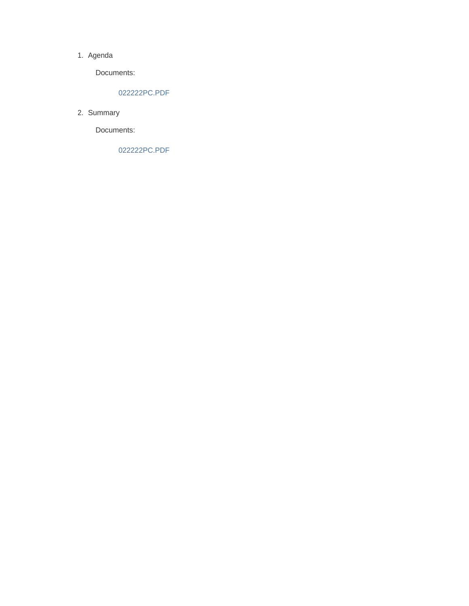#### 1. Agenda

Documents:

### 022222PC.PDF

2. Summary

Documents:

022222PC.PDF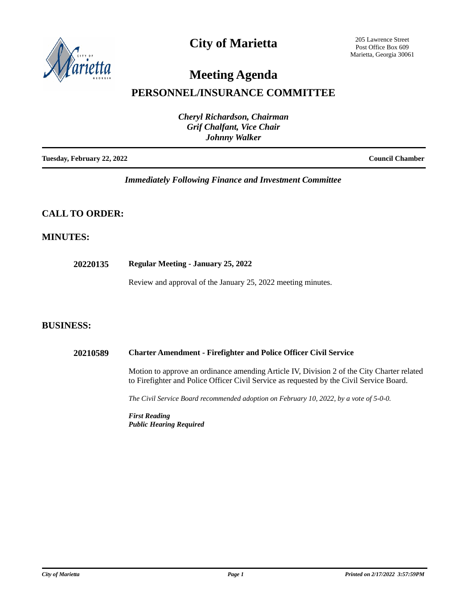

## **City of Marietta**

205 Lawrence Street Post Office Box 609 Marietta, Georgia 30061

# **Meeting Agenda**

## **PERSONNEL/INSURANCE COMMITTEE**

| <b>Cheryl Richardson, Chairman</b><br><b>Grif Chalfant, Vice Chair</b> |                        |
|------------------------------------------------------------------------|------------------------|
| <b>Johnny Walker</b>                                                   |                        |
| Tuesday, February 22, 2022                                             | <b>Council Chamber</b> |

## *Immediately Following Finance and Investment Committee*

## **CALL TO ORDER:**

## **MINUTES:**

**20220135 Regular Meeting - January 25, 2022**

Review and approval of the January 25, 2022 meeting minutes.

## **BUSINESS:**

#### **20210589 Charter Amendment - Firefighter and Police Officer Civil Service**

Motion to approve an ordinance amending Article IV, Division 2 of the City Charter related to Firefighter and Police Officer Civil Service as requested by the Civil Service Board.

*The Civil Service Board recommended adoption on February 10, 2022, by a vote of 5-0-0.*

*First Reading Public Hearing Required*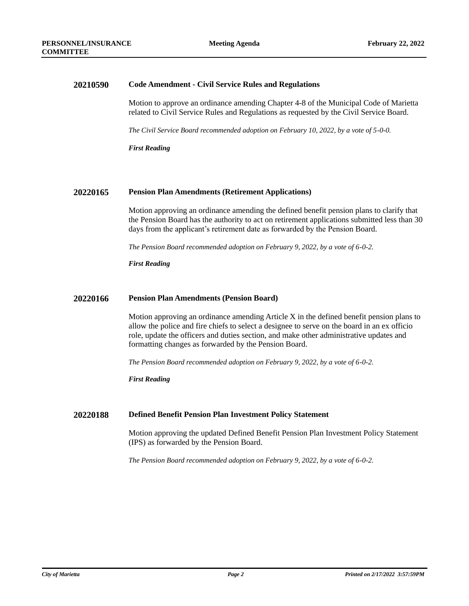#### **20210590 Code Amendment - Civil Service Rules and Regulations**

Motion to approve an ordinance amending Chapter 4-8 of the Municipal Code of Marietta related to Civil Service Rules and Regulations as requested by the Civil Service Board.

*The Civil Service Board recommended adoption on February 10, 2022, by a vote of 5-0-0.*

*First Reading*

#### **20220165 Pension Plan Amendments (Retirement Applications)**

Motion approving an ordinance amending the defined benefit pension plans to clarify that the Pension Board has the authority to act on retirement applications submitted less than 30 days from the applicant's retirement date as forwarded by the Pension Board.

*The Pension Board recommended adoption on February 9, 2022, by a vote of 6-0-2.*

*First Reading*

#### **20220166 Pension Plan Amendments (Pension Board)**

Motion approving an ordinance amending Article X in the defined benefit pension plans to allow the police and fire chiefs to select a designee to serve on the board in an ex officio role, update the officers and duties section, and make other administrative updates and formatting changes as forwarded by the Pension Board.

*The Pension Board recommended adoption on February 9, 2022, by a vote of 6-0-2.*

*First Reading*

#### **20220188 Defined Benefit Pension Plan Investment Policy Statement**

Motion approving the updated Defined Benefit Pension Plan Investment Policy Statement (IPS) as forwarded by the Pension Board.

*The Pension Board recommended adoption on February 9, 2022, by a vote of 6-0-2.*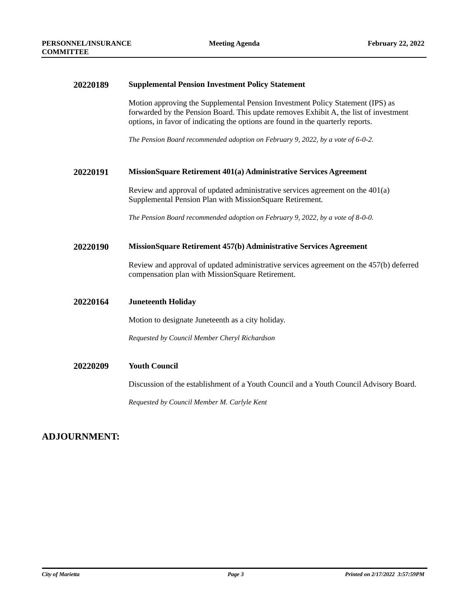#### **20220189 Supplemental Pension Investment Policy Statement**

Motion approving the Supplemental Pension Investment Policy Statement (IPS) as forwarded by the Pension Board. This update removes Exhibit A, the list of investment options, in favor of indicating the options are found in the quarterly reports.

*The Pension Board recommended adoption on February 9, 2022, by a vote of 6-0-2.*

#### **20220191 MissionSquare Retirement 401(a) Administrative Services Agreement**

Review and approval of updated administrative services agreement on the 401(a) Supplemental Pension Plan with MissionSquare Retirement.

*The Pension Board recommended adoption on February 9, 2022, by a vote of 8-0-0.*

#### **20220190 MissionSquare Retirement 457(b) Administrative Services Agreement**

Review and approval of updated administrative services agreement on the 457(b) deferred compensation plan with MissionSquare Retirement.

#### **20220164 Juneteenth Holiday**

Motion to designate Juneteenth as a city holiday.

*Requested by Council Member Cheryl Richardson*

#### **20220209 Youth Council**

Discussion of the establishment of a Youth Council and a Youth Council Advisory Board.

*Requested by Council Member M. Carlyle Kent*

## **ADJOURNMENT:**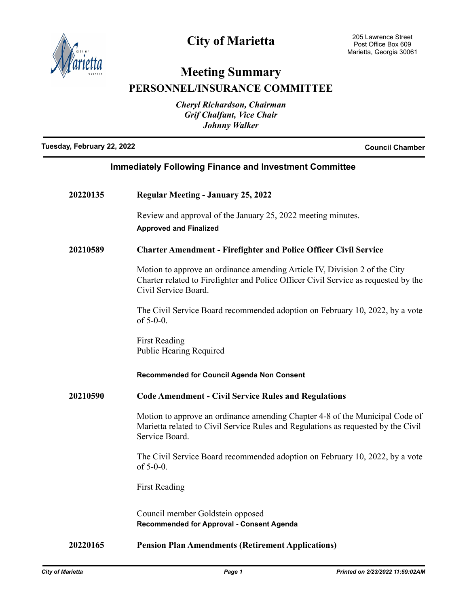

# **City of Marietta**

## **Meeting Summary PERSONNEL/INSURANCE COMMITTEE**

*Cheryl Richardson, Chairman Grif Chalfant, Vice Chair*

*Johnny Walker*

**Tuesday, February 22, 2022 Council Chamber**

| <b>Immediately Following Finance and Investment Committee</b> |  |
|---------------------------------------------------------------|--|
|                                                               |  |

| 20220135 | <b>Regular Meeting - January 25, 2022</b>                                                                                                                                                 |
|----------|-------------------------------------------------------------------------------------------------------------------------------------------------------------------------------------------|
|          | Review and approval of the January 25, 2022 meeting minutes.<br><b>Approved and Finalized</b>                                                                                             |
| 20210589 | <b>Charter Amendment - Firefighter and Police Officer Civil Service</b>                                                                                                                   |
|          | Motion to approve an ordinance amending Article IV, Division 2 of the City<br>Charter related to Firefighter and Police Officer Civil Service as requested by the<br>Civil Service Board. |
|          | The Civil Service Board recommended adoption on February 10, 2022, by a vote<br>of $5-0-0$ .                                                                                              |
|          | <b>First Reading</b><br><b>Public Hearing Required</b>                                                                                                                                    |
|          |                                                                                                                                                                                           |
|          | Recommended for Council Agenda Non Consent                                                                                                                                                |
| 20210590 | <b>Code Amendment - Civil Service Rules and Regulations</b>                                                                                                                               |
|          | Motion to approve an ordinance amending Chapter 4-8 of the Municipal Code of<br>Marietta related to Civil Service Rules and Regulations as requested by the Civil<br>Service Board.       |
|          | The Civil Service Board recommended adoption on February 10, 2022, by a vote<br>of $5-0-0$ .                                                                                              |
|          | <b>First Reading</b>                                                                                                                                                                      |

**20220165 Pension Plan Amendments (Retirement Applications)**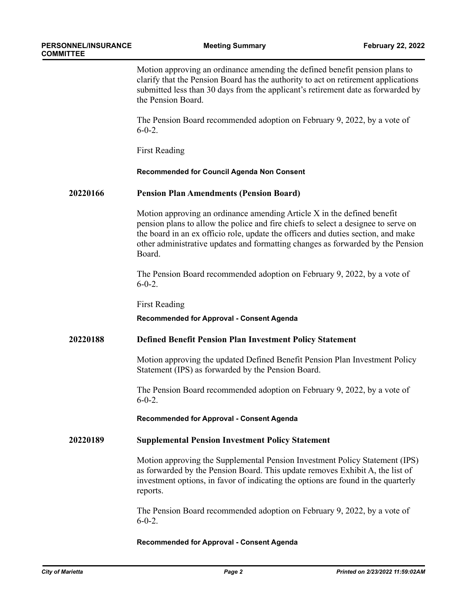Motion approving an ordinance amending the defined benefit pension plans to clarify that the Pension Board has the authority to act on retirement applications submitted less than 30 days from the applicant's retirement date as forwarded by the Pension Board.

The Pension Board recommended adoption on February 9, 2022, by a vote of  $6 - 0 - 2$ .

First Reading

#### **Recommended for Council Agenda Non Consent**

#### **20220166 Pension Plan Amendments (Pension Board)**

Motion approving an ordinance amending Article X in the defined benefit pension plans to allow the police and fire chiefs to select a designee to serve on the board in an ex officio role, update the officers and duties section, and make other administrative updates and formatting changes as forwarded by the Pension Board.

The Pension Board recommended adoption on February 9, 2022, by a vote of  $6-0-2$ .

First Reading

### **Recommended for Approval - Consent Agenda**

### **20220188 Defined Benefit Pension Plan Investment Policy Statement**

Motion approving the updated Defined Benefit Pension Plan Investment Policy Statement (IPS) as forwarded by the Pension Board.

The Pension Board recommended adoption on February 9, 2022, by a vote of  $6-0-2$ .

**Recommended for Approval - Consent Agenda**

### **20220189 Supplemental Pension Investment Policy Statement**

Motion approving the Supplemental Pension Investment Policy Statement (IPS) as forwarded by the Pension Board. This update removes Exhibit A, the list of investment options, in favor of indicating the options are found in the quarterly reports.

The Pension Board recommended adoption on February 9, 2022, by a vote of  $6-0-2$ .

#### **Recommended for Approval - Consent Agenda**